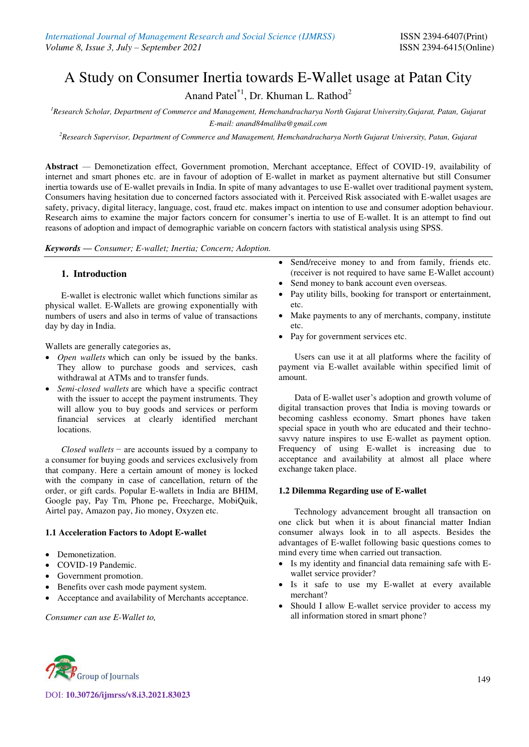# A Study on Consumer Inertia towards E-Wallet usage at Patan City

Anand Patel<sup>\*1</sup>, Dr. Khuman L. Rathod<sup>2</sup>

*<sup>1</sup>Research Scholar, Department of Commerce and Management, Hemchandracharya North Gujarat University,Gujarat, Patan, Gujarat E-mail: anand84maliba@gmail.com* 

*<sup>2</sup>Research Supervisor, Department of Commerce and Management, Hemchandracharya North Gujarat University, Patan, Gujarat* 

**Abstract** *—* Demonetization effect, Government promotion, Merchant acceptance, Effect of COVID-19, availability of internet and smart phones etc. are in favour of adoption of E-wallet in market as payment alternative but still Consumer inertia towards use of E-wallet prevails in India. In spite of many advantages to use E-wallet over traditional payment system, Consumers having hesitation due to concerned factors associated with it. Perceived Risk associated with E-wallet usages are safety, privacy, digital literacy, language, cost, fraud etc. makes impact on intention to use and consumer adoption behaviour. Research aims to examine the major factors concern for consumer's inertia to use of E-wallet. It is an attempt to find out reasons of adoption and impact of demographic variable on concern factors with statistical analysis using SPSS.

*Keywords — Consumer; E-wallet; Inertia; Concern; Adoption.* 

# **1. Introduction**

E-wallet is electronic wallet which functions similar as physical wallet. E-Wallets are growing exponentially with numbers of users and also in terms of value of transactions day by day in India.

Wallets are generally categories as,

- *Open wallets* which can only be issued by the banks. They allow to purchase goods and services, cash withdrawal at ATMs and to transfer funds.
- *Semi-closed wallets* are which have a specific contract with the issuer to accept the payment instruments. They will allow you to buy goods and services or perform financial services at clearly identified merchant locations.

*Closed wallets* − are accounts issued by a company to a consumer for buying goods and services exclusively from that company. Here a certain amount of money is locked with the company in case of cancellation, return of the order, or gift cards. Popular E-wallets in India are BHIM, Google pay, Pay Tm, Phone pe, Freecharge, MobiQuik, Airtel pay, Amazon pay, Jio money, Oxyzen etc.

# **1.1 Acceleration Factors to Adopt E-wallet**

- Demonetization.
- COVID-19 Pandemic.
- Government promotion.
- Benefits over cash mode payment system.
- Acceptance and availability of Merchants acceptance.

*Consumer can use E-Wallet to,* 

- Send/receive money to and from family, friends etc. (receiver is not required to have same E-Wallet account)
- Send money to bank account even overseas.
- Pay utility bills, booking for transport or entertainment, etc.
- Make payments to any of merchants, company, institute etc.
- Pay for government services etc.

Users can use it at all platforms where the facility of payment via E-wallet available within specified limit of amount.

Data of E-wallet user's adoption and growth volume of digital transaction proves that India is moving towards or becoming cashless economy. Smart phones have taken special space in youth who are educated and their technosavvy nature inspires to use E-wallet as payment option. Frequency of using E-wallet is increasing due to acceptance and availability at almost all place where exchange taken place.

# **1.2 Dilemma Regarding use of E-wallet**

Technology advancement brought all transaction on one click but when it is about financial matter Indian consumer always look in to all aspects. Besides the advantages of E-wallet following basic questions comes to mind every time when carried out transaction.

- Is my identity and financial data remaining safe with Ewallet service provider?
- Is it safe to use my E-wallet at every available merchant?
- Should I allow E-wallet service provider to access my all information stored in smart phone?



DOI: **10.30726/ijmrss/v8.i3.2021.83023**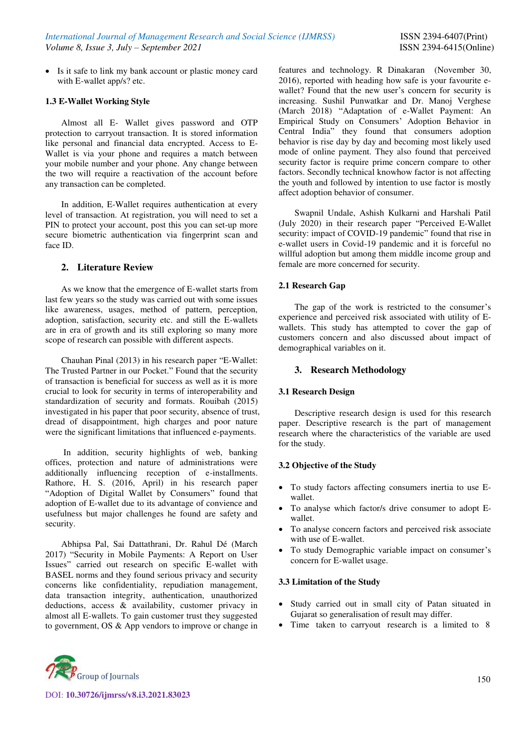Is it safe to link my bank account or plastic money card with E-wallet app/s? etc.

# **1.3 E-Wallet Working Style**

Almost all E- Wallet gives password and OTP protection to carryout transaction. It is stored information like personal and financial data encrypted. Access to E-Wallet is via your phone and requires a match between your mobile number and your phone. Any change between the two will require a reactivation of the account before any transaction can be completed.

In addition, E-Wallet requires authentication at every level of transaction. At registration, you will need to set a PIN to protect your account, post this you can set-up more secure biometric authentication via fingerprint scan and face ID.

# **2. Literature Review**

As we know that the emergence of E-wallet starts from last few years so the study was carried out with some issues like awareness, usages, method of pattern, perception, adoption, satisfaction, security etc. and still the E-wallets are in era of growth and its still exploring so many more scope of research can possible with different aspects.

Chauhan Pinal (2013) in his research paper "E-Wallet: The Trusted Partner in our Pocket." Found that the security of transaction is beneficial for success as well as it is more crucial to look for security in terms of interoperability and standardization of security and formats. Rouibah (2015) investigated in his paper that poor security, absence of trust, dread of disappointment, high charges and poor nature were the significant limitations that influenced e-payments.

 In addition, security highlights of web, banking offices, protection and nature of administrations were additionally influencing reception of e-installments. Rathore, H. S. (2016, April) in his research paper "Adoption of Digital Wallet by Consumers" found that adoption of E-wallet due to its advantage of convience and usefulness but major challenges he found are safety and security.

Abhipsa Pal, Sai Dattathrani, Dr. Rahul Dé (March 2017) "Security in Mobile Payments: A Report on User Issues" carried out research on specific E-wallet with BASEL norms and they found serious privacy and security concerns like confidentiality, repudiation management, data transaction integrity, authentication, unauthorized deductions, access & availability, customer privacy in almost all E-wallets. To gain customer trust they suggested to government, OS & App vendors to improve or change in features and technology. [R Dinakaran](https://www.thehindubusinessline.com/profile/author/R-Dinakaran/) (November 30, 2016), reported with heading how safe is your favourite ewallet? Found that the new user's concern for security is increasing. Sushil Punwatkar and Dr. Manoj Verghese (March 2018) "Adaptation of e-Wallet Payment: An Empirical Study on Consumers' Adoption Behavior in Central India" they found that consumers adoption behavior is rise day by day and becoming most likely used mode of online payment. They also found that perceived security factor is require prime concern compare to other factors. Secondly technical knowhow factor is not affecting the youth and followed by intention to use factor is mostly affect adoption behavior of consumer.

Swapnil Undale, Ashish Kulkarni and Harshali Patil (July 2020) in their research paper "Perceived E-Wallet security: impact of COVID-19 pandemic" found that rise in e-wallet users in Covid-19 pandemic and it is forceful no willful adoption but among them middle income group and female are more concerned for security.

# **2.1 Research Gap**

The gap of the work is restricted to the consumer's experience and perceived risk associated with utility of Ewallets. This study has attempted to cover the gap of customers concern and also discussed about impact of demographical variables on it.

#### **3. Research Methodology**

# **3.1 Research Design**

Descriptive research design is used for this research paper. Descriptive research is the part of management research where the characteristics of the variable are used for the study.

# **3.2 Objective of the Study**

- To study factors affecting consumers inertia to use Ewallet.
- To analyse which factor/s drive consumer to adopt Ewallet.
- To analyse concern factors and perceived risk associate with use of E-wallet.
- To study Demographic variable impact on consumer's concern for E-wallet usage.

# **3.3 Limitation of the Study**

- Study carried out in small city of Patan situated in Gujarat so generalisation of result may differ.
- Time taken to carryout research is a limited to 8



DOI: **10.30726/ijmrss/v8.i3.2021.83023**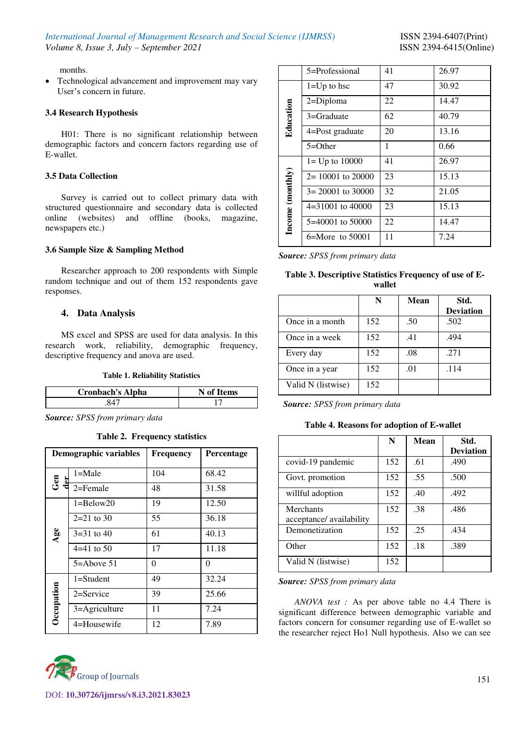months.

• Technological advancement and improvement may vary User's concern in future.

#### **3.4 Research Hypothesis**

H01: There is no significant relationship between demographic factors and concern factors regarding use of E-wallet.

#### **3.5 Data Collection**

Survey is carried out to collect primary data with structured questionnaire and secondary data is collected online (websites) and offline (books, magazine, newspapers etc.)

#### **3.6 Sample Size & Sampling Method**

Researcher approach to 200 respondents with Simple random technique and out of them 152 respondents gave responses.

# **4. Data Analysis**

MS excel and SPSS are used for data analysis. In this research work, reliability, demographic frequency, descriptive frequency and anova are used.

#### **Table 1. Reliability Statistics**

| <b>Cronbach's Alpha</b> | N of Items |
|-------------------------|------------|
|                         |            |

*Source: SPSS from primary data*

#### **Table 2. Frequency statistics**

|            | <b>Demographic variables</b> | <b>Frequency</b> | Percentage |
|------------|------------------------------|------------------|------------|
| ូ<br>ប     | $1 = Male$                   | 104              | 68.42      |
|            | $2 =$ Female                 | 48               | 31.58      |
| Age        | $1 =$ Below $20$             | 19               | 12.50      |
|            | $2=21$ to 30                 | 55               | 36.18      |
|            | $3=31$ to 40                 | 61               | 40.13      |
|            | $4=41$ to 50                 | 17               | 11.18      |
|            | $5 =$ Above 51               | 0                | 0          |
| Occupation | $1 = Student$                | 49               | 32.24      |
|            | $2 =$ Service                | 39               | 25.66      |
|            | 3=Agriculture                | 11               | 7.24       |
|            | 4=Housewife                  | 12               | 7.89       |



| 5=Professional       | 41 | 26.97 |
|----------------------|----|-------|
| $1=Up$ to hsc        | 47 | 30.92 |
| $2 = Diploma$        | 22 | 14.47 |
| $3 =$ Graduate       | 62 | 40.79 |
| 4=Post graduate      | 20 | 13.16 |
| $5 = Other$          | 1  | 0.66  |
| $1 = Up to 10000$    | 41 | 26.97 |
| $2 = 10001$ to 20000 | 23 | 15.13 |
| $3 = 20001$ to 30000 | 32 | 21.05 |
| 4=31001 to 40000     | 23 | 15.13 |
| 5=40001 to 50000     | 22 | 14.47 |
| $6 =$ More to 50001  | 11 | 7.24  |
|                      |    |       |

*Source: SPSS from primary data*

**Table 3. Descriptive Statistics Frequency of use of Ewallet** 

|                    | N   | Mean | Std.<br><b>Deviation</b> |
|--------------------|-----|------|--------------------------|
| Once in a month    | 152 | .50  | .502                     |
| Once in a week     | 152 | .41  | .494                     |
| Every day          | 152 | .08  | .271                     |
| Once in a year     | 152 | .01  | .114                     |
| Valid N (listwise) | 152 |      |                          |

*Source: SPSS from primary data*

**Table 4. Reasons for adoption of E-wallet**

|                                              | N   | Mean | Std.             |
|----------------------------------------------|-----|------|------------------|
|                                              |     |      | <b>Deviation</b> |
| covid-19 pandemic                            | 152 | .61  | .490             |
| Govt. promotion                              | 152 | .55  | .500             |
| willful adoption                             | 152 | .40  | .492             |
| <b>Merchants</b><br>acceptance/ availability | 152 | .38  | .486             |
| Demonetization                               | 152 | .25  | .434             |
| Other                                        | 152 | .18  | .389             |
| Valid N (listwise)                           | 152 |      |                  |

*Source: SPSS from primary data* 

*ANOVA test :* As per above table no 4.4 There is significant difference between demographic variable and factors concern for consumer regarding use of E-wallet so the researcher reject Ho1 Null hypothesis. Also we can see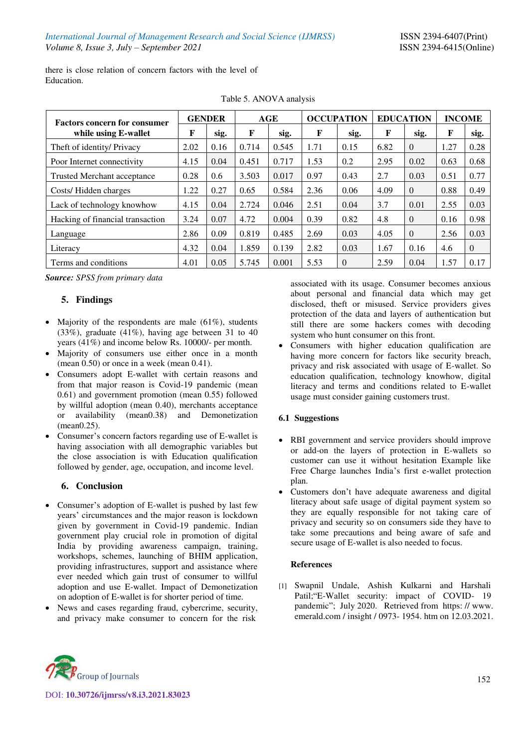there is close relation of concern factors with the level of Education.

| <b>Factors concern for consumer</b> | <b>GENDER</b> |      | AGE   |       | <b>OCCUPATION</b> |          | <b>EDUCATION</b> |          | <b>INCOME</b> |          |
|-------------------------------------|---------------|------|-------|-------|-------------------|----------|------------------|----------|---------------|----------|
| while using E-wallet                | F             | sig. | F     | sig.  | F                 | sig.     | F                | sig.     | F             | sig.     |
| Theft of identity/ Privacy          | 2.02          | 0.16 | 0.714 | 0.545 | 1.71              | 0.15     | 6.82             | $\Omega$ | 1.27          | 0.28     |
| Poor Internet connectivity          | 4.15          | 0.04 | 0.451 | 0.717 | 1.53              | 0.2      | 2.95             | 0.02     | 0.63          | 0.68     |
| Trusted Merchant acceptance         | 0.28          | 0.6  | 3.503 | 0.017 | 0.97              | 0.43     | 2.7              | 0.03     | 0.51          | 0.77     |
| Costs/Hidden charges                | 1.22          | 0.27 | 0.65  | 0.584 | 2.36              | 0.06     | 4.09             | $\Omega$ | 0.88          | 0.49     |
| Lack of technology knowhow          | 4.15          | 0.04 | 2.724 | 0.046 | 2.51              | 0.04     | 3.7              | 0.01     | 2.55          | 0.03     |
| Hacking of financial transaction    | 3.24          | 0.07 | 4.72  | 0.004 | 0.39              | 0.82     | 4.8              | $\Omega$ | 0.16          | 0.98     |
| Language                            | 2.86          | 0.09 | 0.819 | 0.485 | 2.69              | 0.03     | 4.05             | $\Omega$ | 2.56          | 0.03     |
| Literacy                            | 4.32          | 0.04 | 1.859 | 0.139 | 2.82              | 0.03     | 1.67             | 0.16     | 4.6           | $\Omega$ |
| Terms and conditions                | 4.01          | 0.05 | 5.745 | 0.001 | 5.53              | $\theta$ | 2.59             | 0.04     | 1.57          | 0.17     |

Table 5. ANOVA analysis

*Source: SPSS from primary data* 

# **5. Findings**

- Majority of the respondents are male  $(61\%)$ , students (33%), graduate (41%), having age between 31 to 40 years (41%) and income below Rs. 10000/- per month.
- Majority of consumers use either once in a month (mean 0.50) or once in a week (mean 0.41).
- Consumers adopt E-wallet with certain reasons and from that major reason is Covid-19 pandemic (mean 0.61) and government promotion (mean 0.55) followed by willful adoption (mean 0.40), merchants acceptance or availability (mean0.38) and Demonetization (mean0.25).
- Consumer's concern factors regarding use of E-wallet is having association with all demographic variables but the close association is with Education qualification followed by gender, age, occupation, and income level.

# **6. Conclusion**

- Consumer's adoption of E-wallet is pushed by last few years' circumstances and the major reason is lockdown given by government in Covid-19 pandemic. Indian government play crucial role in promotion of digital India by providing awareness campaign, training, workshops, schemes, launching of BHIM application, providing infrastructures, support and assistance where ever needed which gain trust of consumer to willful adoption and use E-wallet. Impact of Demonetization on adoption of E-wallet is for shorter period of time.
- News and cases regarding fraud, cybercrime, security, and privacy make consumer to concern for the risk

associated with its usage. Consumer becomes anxious about personal and financial data which may get disclosed, theft or misused. Service providers gives protection of the data and layers of authentication but still there are some hackers comes with decoding system who hunt consumer on this front.

 Consumers with higher education qualification are having more concern for factors like security breach, privacy and risk associated with usage of E-wallet. So education qualification, technology knowhow, digital literacy and terms and conditions related to E-wallet usage must consider gaining customers trust.

# **6.1 Suggestions**

- RBI government and service providers should improve or add-on the layers of protection in E-wallets so customer can use it without hesitation Example like Free Charge launches India's first e-wallet protection plan.
- Customers don't have adequate awareness and digital literacy about safe usage of digital payment system so they are equally responsible for not taking care of privacy and security so on consumers side they have to take some precautions and being aware of safe and secure usage of E-wallet is also needed to focus.

# **References**

[1] Swapnil Undale, Ashish Kulkarni and Harshali Patil;"E-Wallet security: impact of COVID- 19 pandemic"; July 2020. Retrieved from https: // www. emerald.com / insight / 0973- 1954. htm on 12.03.2021.



DOI: **10.30726/ijmrss/v8.i3.2021.83023**